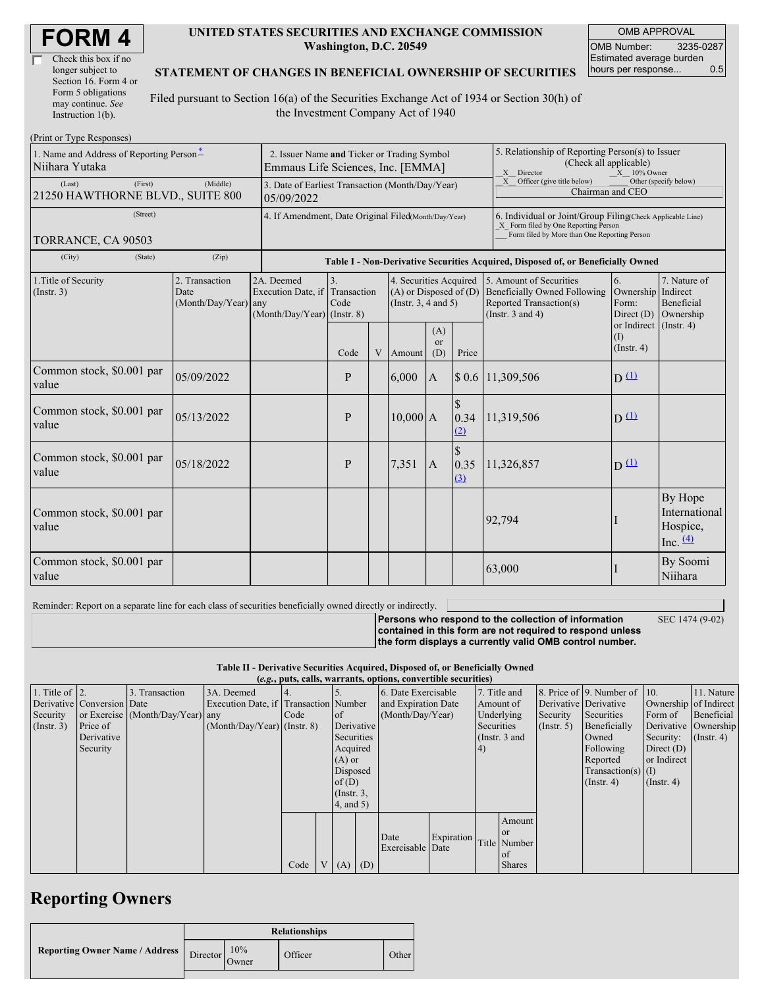| Check this box if no  |  |
|-----------------------|--|
| longer subject to     |  |
| Section 16. Form 4 or |  |
| Form 5 obligations    |  |
| may continue. See     |  |
| Instruction 1(b).     |  |

#### **UNITED STATES SECURITIES AND EXCHANGE COMMISSION Washington, D.C. 20549**

OMB APPROVAL OMB Number: 3235-0287 Estimated average burden hours per response... 0.5

### **STATEMENT OF CHANGES IN BENEFICIAL OWNERSHIP OF SECURITIES**

Filed pursuant to Section 16(a) of the Securities Exchange Act of 1934 or Section 30(h) of the Investment Company Act of 1940

| (Print or Type Responses)                                  |                                                                                           |                                                                               |            |   |                                                    |                             |                                                                                                                                                    |                                                                                                                                        |                                                         |                                                              |  |
|------------------------------------------------------------|-------------------------------------------------------------------------------------------|-------------------------------------------------------------------------------|------------|---|----------------------------------------------------|-----------------------------|----------------------------------------------------------------------------------------------------------------------------------------------------|----------------------------------------------------------------------------------------------------------------------------------------|---------------------------------------------------------|--------------------------------------------------------------|--|
| 1. Name and Address of Reporting Person-<br>Niihara Yutaka | 2. Issuer Name and Ticker or Trading Symbol<br>Emmaus Life Sciences, Inc. [EMMA]          |                                                                               |            |   |                                                    |                             | 5. Relationship of Reporting Person(s) to Issuer<br>(Check all applicable)<br>X Director<br>$X = 10\%$ Owner                                       |                                                                                                                                        |                                                         |                                                              |  |
| (Last)<br>(First)<br>21250 HAWTHORNE BLVD., SUITE 800      | (Middle)                                                                                  | 3. Date of Earliest Transaction (Month/Day/Year)<br>05/09/2022                |            |   |                                                    |                             | X Officer (give title below)<br>Other (specify below)<br>Chairman and CEO                                                                          |                                                                                                                                        |                                                         |                                                              |  |
| (Street)                                                   | 4. If Amendment, Date Original Filed(Month/Day/Year)                                      |                                                                               |            |   |                                                    |                             | 6. Individual or Joint/Group Filing(Check Applicable Line)<br>X Form filed by One Reporting Person<br>Form filed by More than One Reporting Person |                                                                                                                                        |                                                         |                                                              |  |
| TORRANCE, CA 90503                                         |                                                                                           |                                                                               |            |   |                                                    |                             |                                                                                                                                                    |                                                                                                                                        |                                                         |                                                              |  |
| (City)<br>(State)                                          | (Zip)<br>Table I - Non-Derivative Securities Acquired, Disposed of, or Beneficially Owned |                                                                               |            |   |                                                    |                             |                                                                                                                                                    |                                                                                                                                        |                                                         |                                                              |  |
| 1. Title of Security<br>(Insert. 3)                        | 2. Transaction<br>Date<br>$(Month/Day/Year)$ any                                          | 2A. Deemed<br>Execution Date, if Transaction<br>$(Month/Day/Year)$ (Instr. 8) | 3.<br>Code |   | 4. Securities Acquired<br>(Instr. $3, 4$ and $5$ ) |                             |                                                                                                                                                    | 5. Amount of Securities<br>$(A)$ or Disposed of $(D)$ Beneficially Owned Following<br>Reported Transaction(s)<br>(Instr. $3$ and $4$ ) | 6.<br>Ownership<br>Form:<br>Direct $(D)$                | 7. Nature of<br>Indirect<br>Beneficial<br>Ownership          |  |
|                                                            |                                                                                           |                                                                               | Code       | V | Amount                                             | (A)<br><sub>or</sub><br>(D) | Price                                                                                                                                              |                                                                                                                                        | or Indirect $($ Instr. 4 $)$<br>(I)<br>$($ Instr. 4 $)$ |                                                              |  |
| Common stock, \$0.001 par<br>value                         | 05/09/2022                                                                                |                                                                               | P          |   | 6,000                                              | $\overline{A}$              |                                                                                                                                                    | \$ 0.6 11,309,506                                                                                                                      | $D(\underline{1})$                                      |                                                              |  |
| Common stock, \$0.001 par<br>value                         | 05/13/2022                                                                                |                                                                               | P          |   | $10,000$ A                                         |                             | $\mathbb{S}$<br>0.34<br>(2)                                                                                                                        | 11,319,506                                                                                                                             | $D^{\text{L}}$                                          |                                                              |  |
| Common stock, \$0.001 par<br>value                         | 05/18/2022                                                                                |                                                                               | P          |   | 7,351                                              | $\overline{A}$              | $\mathcal{S}$<br>0.35<br>(3)                                                                                                                       | 11,326,857                                                                                                                             | $D(\underline{1})$                                      |                                                              |  |
| Common stock, \$0.001 par<br>value                         |                                                                                           |                                                                               |            |   |                                                    |                             |                                                                                                                                                    | 92,794                                                                                                                                 |                                                         | By Hope<br>International<br>Hospice,<br>Inc. $\frac{(4)}{4}$ |  |
| Common stock, \$0.001 par<br>value                         |                                                                                           |                                                                               |            |   |                                                    |                             |                                                                                                                                                    | 63,000                                                                                                                                 |                                                         | By Soomi<br>Niihara                                          |  |

Reminder: Report on a separate line for each class of securities beneficially owned directly or indirectly.

SEC 1474 (9-02)

**Persons who respond to the collection of information contained in this form are not required to respond unless the form displays a currently valid OMB control number.**

### **Table II - Derivative Securities Acquired, Disposed of, or Beneficially Owned**

|                        | (e.g., puts, calls, warrants, options, convertible securities) |                                  |                                       |      |          |               |            |                          |            |               |               |                       |                          |                       |                  |
|------------------------|----------------------------------------------------------------|----------------------------------|---------------------------------------|------|----------|---------------|------------|--------------------------|------------|---------------|---------------|-----------------------|--------------------------|-----------------------|------------------|
| 1. Title of $\vert$ 2. |                                                                | 3. Transaction                   | 3A. Deemed                            |      |          |               |            | 6. Date Exercisable      |            | 7. Title and  |               |                       | 8. Price of 9. Number of | 110.                  | 11. Nature       |
|                        | Derivative Conversion Date                                     |                                  | Execution Date, if Transaction Number |      |          |               |            | and Expiration Date      |            | Amount of     |               | Derivative Derivative |                          | Ownership of Indirect |                  |
| Security               |                                                                | or Exercise (Month/Day/Year) any |                                       | Code |          | <sub>of</sub> |            | (Month/Day/Year)         |            | Underlying    |               | Security              | Securities               | Form of               | Beneficial       |
| $($ Instr. 3 $)$       | Price of                                                       |                                  | $(Month/Day/Year)$ (Instr. 8)         |      |          |               | Derivative |                          |            | Securities    |               | $($ Instr. 5 $)$      | Beneficially             | Derivative Ownership  |                  |
|                        | Derivative                                                     |                                  |                                       |      |          | Securities    |            |                          |            | (Instr. 3 and |               |                       | Owned                    | Security:             | $($ Instr. 4 $)$ |
|                        | Security                                                       |                                  |                                       |      |          | Acquired      |            |                          | 4)         |               |               | Following             | Direct $(D)$             |                       |                  |
|                        |                                                                |                                  |                                       |      | $(A)$ or |               |            |                          |            | Reported      | or Indirect   |                       |                          |                       |                  |
|                        |                                                                |                                  |                                       |      | Disposed |               |            |                          |            |               |               | Transaction(s) $(I)$  |                          |                       |                  |
|                        |                                                                |                                  |                                       |      | of $(D)$ |               |            |                          |            |               |               | $($ Instr. 4 $)$      | $($ Instr. 4 $)$         |                       |                  |
|                        |                                                                |                                  |                                       |      |          | $($ Instr. 3, |            |                          |            |               |               |                       |                          |                       |                  |
|                        |                                                                |                                  |                                       |      |          | (4, and 5)    |            |                          |            |               |               |                       |                          |                       |                  |
|                        |                                                                |                                  |                                       |      |          |               |            |                          |            |               | Amount        |                       |                          |                       |                  |
|                        |                                                                |                                  |                                       |      |          |               |            |                          |            |               | <sub>or</sub> |                       |                          |                       |                  |
|                        |                                                                |                                  |                                       |      |          |               |            | Date<br>Exercisable Date | Expiration |               | Title Number  |                       |                          |                       |                  |
|                        |                                                                |                                  |                                       |      |          |               |            |                          |            |               | of            |                       |                          |                       |                  |
|                        |                                                                |                                  |                                       | Code |          | $V(A)$ (D)    |            |                          |            |               | <b>Shares</b> |                       |                          |                       |                  |

## **Reporting Owners**

|                                       | <b>Relationships</b>                             |              |         |       |  |  |  |  |
|---------------------------------------|--------------------------------------------------|--------------|---------|-------|--|--|--|--|
| <b>Reporting Owner Name / Address</b> | Director $\begin{bmatrix} 10 \\ 0 \end{bmatrix}$ | 10%<br>Owner | Officer | Other |  |  |  |  |